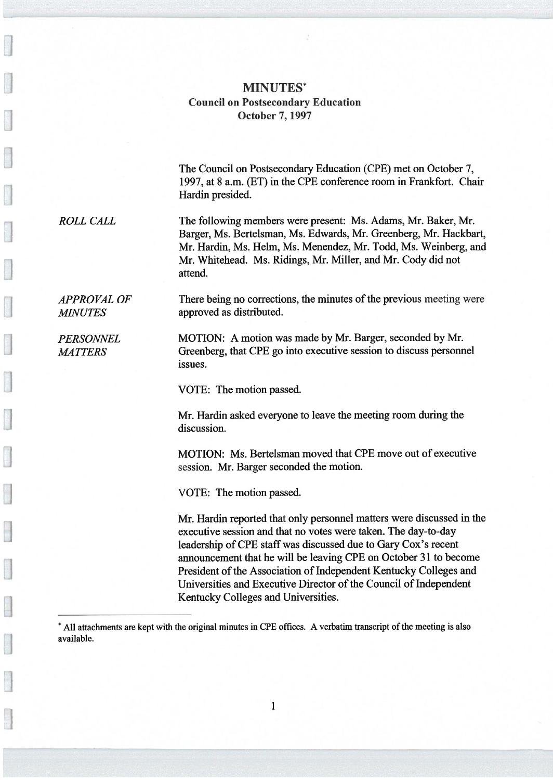## MINUTES\* Council on Postsecondary Education October 7, 1997

The Council on Postsecondary Education (CPE) met on October 7, 1997, at 8 a.m. (ET) in the CPE conference room in Frankfort. Chair Hardin presided.

ROLL CALL The following members were present: Ms. Adams, Mr. Baker, Mr. Barger, Ms. Bertelsman, Ms. Edwards, Mr. Greenberg, Mr. Hackbart, Mr. Hardin, Ms. Helm, Ms. Menendez, Mr. Todd, Ms. Weinberg, and Mr. Whitehead. Ms. Ridings, Mr. Miller, and Mr. Cody did not attend.

APPROVAL OF There being no corrections, the minutes of the previous meeting were MINUTES approved as distributed.

PERSONNEL MOTION: A motion was made by Mr. Barger, seconded by Mr. MATTERS Greenberg, that CPE go into executive session to discuss personnel issues.

VOTE: The motion passed.

Mr. Hardin asked everyone to leave the meeting room during the discussion.

MOTION: Ms. Bertelsman moved that CPE move out of executive session. Mr. Barger seconded the motion.

VOTE: The motion passed.

Mr. Hardin reported that only personnel matters were discussed in the executive session and that no votes were taken. The day-to-day leadership of CPE staff was discussed due to Gary Cox's recent announcement that he will be leaving CPE on October 31 to become President of the Association of Independent Kentucky Colleges and Universities and Executive Director of the Council of Independent Kentucky Colleges and Universities.

<sup>\*</sup> All attachments are kept with the original minutes in CPE offices. A verbatim transcript of the meeting is also available.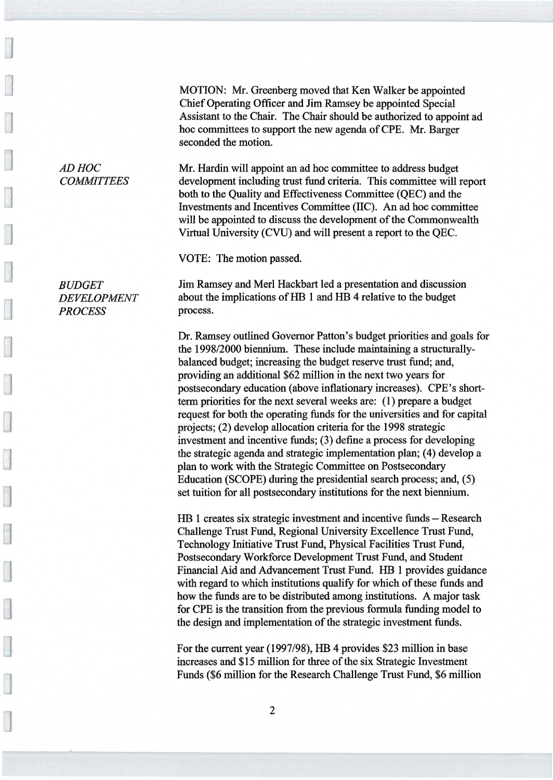MOTION: Mr. Greenberg moved that Ken Walker be appointed Chief Operating Officer and Jim Ramsey be appointed Special Assistant to the Chair. The Chair should be authorized to appoint ad hoc committees to support the new agenda of CPE. Mr. Barger seconded the motion.

AD HOC Mr. Hardin will appoint an ad hoc committee to address budget COMMITTEES development including trust fund criteria. This committee will report both to the Quality and Effectiveness Committee (QEC) and the Investments and Incentives Committee (IIC). An ad hoc committee will be appointed to discuss the development of the Commonwealth Virtual University (CVU) and will present a report to the QEC.

VOTE: The motion passed.

PROCESS process.

BUDGET Jim Ramsey and Merl Hackbart led a presentation and discussion DEVELOPMENT about the implications of HB 1 and HB 4 relative to the budget

> Dr. Ramsey outlined Governor Patton's budget priorities and goals for the 1998/2000 biennium. These include maintaining a structurallybalanced budget; increasing the budget reserve trust fund; and, providing an additional \$62 million in the next two years for postsecondary education (above inflationary increases). CPE's shortterm priorities for the next several weeks are: (1) prepare a budget request for both the operating funds for the universities and for capital projects; (2) develop allocation criteria for the 1998 strategic investment and incentive funds; (3) define a process for developing the strategic agenda and strategic implementation plan; (4) develop a plan to work with the Strategic Committee on Postsecondary Education (SCOPE) during the presidential search process; and, (5) set tuition for all postsecondary institutions for the next biennium.

> HB 1 creates six strategic investment and incentive funds —Research Challenge Trust Fund, Regional University Excellence Trust Fund, Technology Initiative Trust Fund, Physical Facilities Trust Fund, Postsecondary Workforce Development Trust Fund, and Student Financial Aid and Advancement Trust Fund. HB 1 provides guidance with regard to which institutions qualify for which of these funds and how the funds are to be distributed among institutions. A major task for CPE is the transition from the previous formula funding model to the design and implementation of the strategic investment funds.

For the current year (1997/98), HB 4 provides \$23 million in base increases and \$15 million for three of the six Strategic Investment Funds (\$6 million for the Research Challenge Trust Fund, \$6 million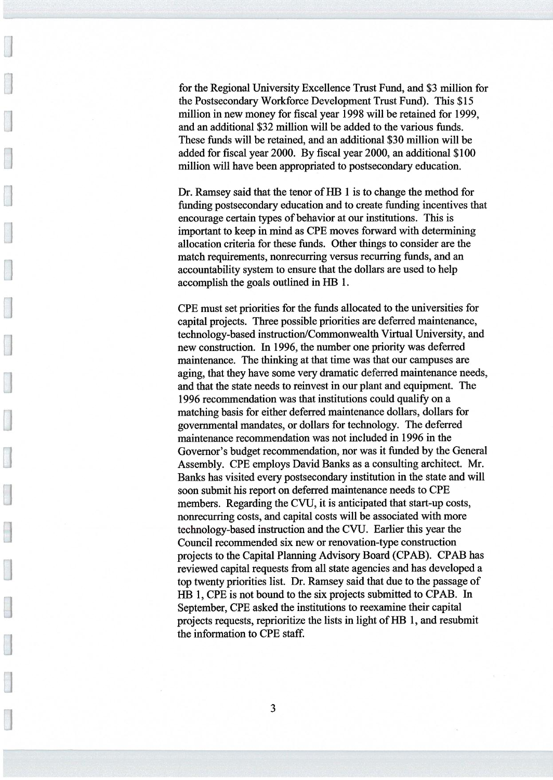for the Regional University Excellence Trust Fund, and \$3 million for the Postsecondary Workforce Development Trust Fund). This \$15 million in new money for fiscal year 1998 will be retained for 1999, and an additional \$32 million will be added to the various funds. These funds will be retained, and an additional \$30 million will be added for fiscal year 2000. By fiscal year 2000, an additional \$100 million will have been appropriated to postsecondary education.

Dr. Ramsey said that the tenor of HB 1 is to change the method for funding postsecondary education and to create funding incentives that encourage certain types of behavior at our institutions. This is important to keep in mind as CPE moves forward with determining allocation criteria for these funds. Other things to consider are the match requirements, nonrecurring versus recurring funds, and an accountability system to ensure that the dollars are used to help accomplish the goals outlined in HB 1.

CPE must set priorities for the funds allocated to the universities for capital projects. Three possible priorities are deferred maintenance, technology-based instruction/Commonwealth Virtual University, and new construction. In 1996, the number one priority was deferred maintenance. The thinking at that time was that our campuses are aging, that they have some very dramatic deferred maintenance needs, and that the state needs to reinvest in our plant and equipment. The 1996 recommendation was that institutions could qualify on a matching basis for either deferred maintenance dollars, dollars for governmental mandates, or dollars for technology. The deferred maintenance recommendation was not included in 1996 in the Governor's budget recommendation, nor was it funded by the General Assembly. CPE employs David Banks as a consulting architect. Mr. Banks has visited every postsecondary institution in the state and will soon submit his report on deferred maintenance needs to CPE members. Regarding the CVU, it is anticipated that start-up costs, nonrecurring costs, and capital costs will be associated with more technology-based instruction and the CVU. Earlier this year the Council recommended six new or renovation-type construction projects to the Capital Planning Advisory Board (CPAB). CPAB has reviewed capital requests from all state agencies and has developed a top twenty priorities list. Dr. Ramsey said that due to the passage of HB 1, CPE is not bound to the six projects submitted to CPAB. In September, CPE asked the institutions to reexamine their capital projects requests, reprioritize the lists in light of HB 1, and resubmit the information to CPE staff.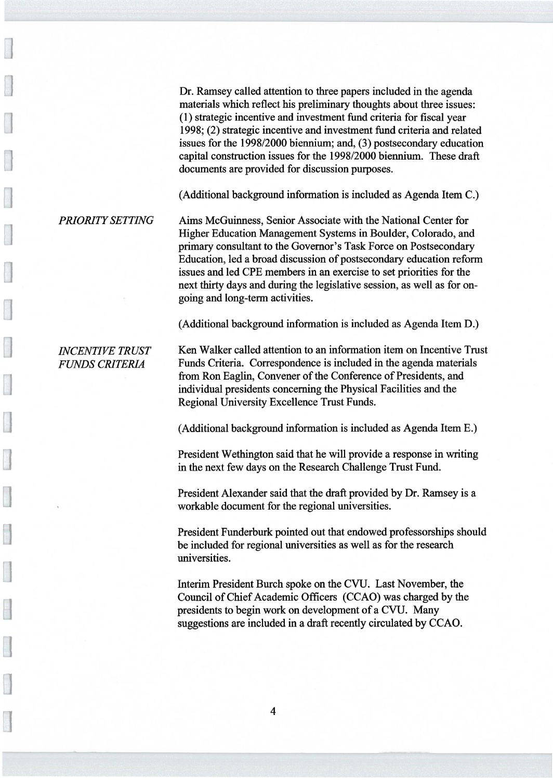Dr. Ramsey called attention to three papers included in the agenda materials which reflect his preliminary thoughts about three issues: (1) strategic incentive and investment fund criteria for fiscal year 1998; (2) strategic incentive and investment fund criteria and related issues for the 1998/2000 biennium; and, (3) postsecondary education capital construction issues for the 1998/2000 biennium. These draft documents are provided for discussion purposes.

(Additional background information is included as Agenda Item C.)

PRIORITYSETTING Aims McGuinness, Senior Associate with the National Center for Higher Education Management Systems in Boulder, Colorado, and primary consultant to the Governor's Task Force on Postsecondary Education, led a broad discussion of postsecondary education reform issues and led CPE members in an exercise to set priorities for the next thirty days and during the legislative session, as well as for ongoing and long-term activities.

(Additional background information is included as Agenda Item D.)

INCENTIVE TRUST Ken Walker called attention to an information item on Incentive Trust FUNDS CRITERIA Funds Criteria. Correspondence is included in the agenda materials from Ron Eaglin, Convener of the Conference of Presidents, and individual presidents concerning the Physical Facilities and the Regional University Excellence Trust Funds.

(Additional background information is included as Agenda Item E.)

President Wethington said that he will provide a response in writing in the next few days on the Research Challenge Trust Fund.

n President Alexander said that the draft provided by Dr. Ramsey is a workable document for the regional universities.

President Funderburk pointed out that endowed professorships should be included for regional universities as well as for the research universities.

Interim President Burch spoke on the CVU. Last November, the Council of Chief Academic Officers (CCAO) was charged by the presidents to begin work on development of a CVU. Many suggestions are included in a draft recently circulated by CCAO.